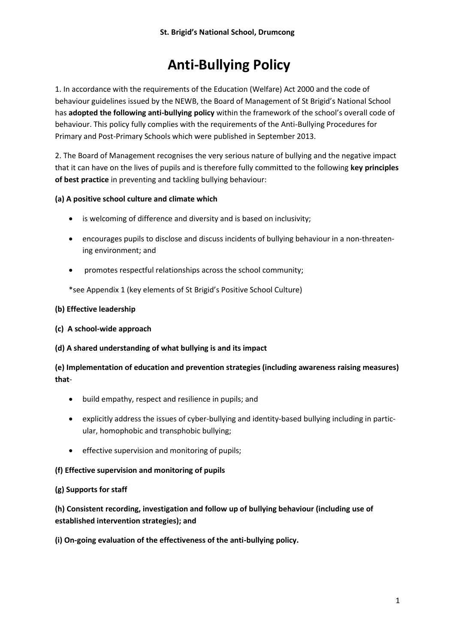# **Anti-Bullying Policy**

1. In accordance with the requirements of the Education (Welfare) Act 2000 and the code of behaviour guidelines issued by the NEWB, the Board of Management of St Brigid's National School has **adopted the following anti-bullying policy** within the framework of the school's overall code of behaviour. This policy fully complies with the requirements of the Anti-Bullying Procedures for Primary and Post-Primary Schools which were published in September 2013.

2. The Board of Management recognises the very serious nature of bullying and the negative impact that it can have on the lives of pupils and is therefore fully committed to the following **key principles of best practice** in preventing and tackling bullying behaviour:

# **(a) A positive school culture and climate which**

- is welcoming of difference and diversity and is based on inclusivity;
- encourages pupils to disclose and discuss incidents of bullying behaviour in a non-threatening environment; and
- promotes respectful relationships across the school community;

\*see Appendix 1 (key elements of St Brigid's Positive School Culture)

## **(b) Effective leadership**

#### **(c) A school-wide approach**

#### **(d) A shared understanding of what bullying is and its impact**

**(e) Implementation of education and prevention strategies (including awareness raising measures) that**-

- build empathy, respect and resilience in pupils; and
- explicitly address the issues of cyber-bullying and identity-based bullying including in particular, homophobic and transphobic bullying;
- **•** effective supervision and monitoring of pupils;

#### **(f) Effective supervision and monitoring of pupils**

#### **(g) Supports for staff**

**(h) Consistent recording, investigation and follow up of bullying behaviour (including use of established intervention strategies); and**

**(i) On-going evaluation of the effectiveness of the anti-bullying policy.**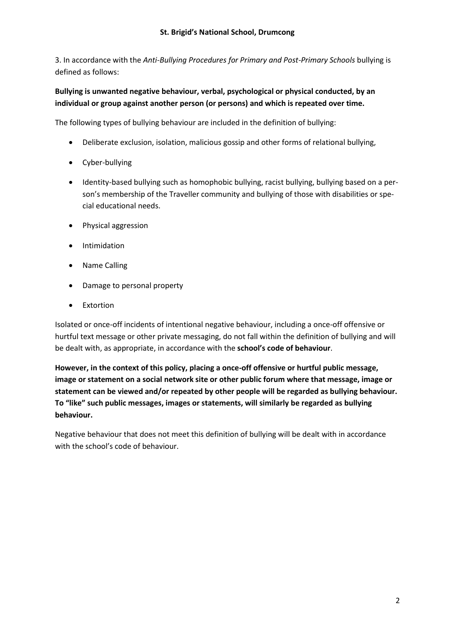3. In accordance with the *Anti-Bullying Procedures for Primary and Post-Primary Schools* bullying is defined as follows:

# **Bullying is unwanted negative behaviour, verbal, psychological or physical conducted, by an individual or group against another person (or persons) and which is repeated over time.**

The following types of bullying behaviour are included in the definition of bullying:

- Deliberate exclusion, isolation, malicious gossip and other forms of relational bullying,
- Cyber-bullying
- Identity-based bullying such as homophobic bullying, racist bullying, bullying based on a person's membership of the Traveller community and bullying of those with disabilities or special educational needs.
- Physical aggression
- **•** Intimidation
- Name Calling
- Damage to personal property
- Extortion

Isolated or once-off incidents of intentional negative behaviour, including a once-off offensive or hurtful text message or other private messaging, do not fall within the definition of bullying and will be dealt with, as appropriate, in accordance with the **school's code of behaviour**.

**However, in the context of this policy, placing a once-off offensive or hurtful public message, image or statement on a social network site or other public forum where that message, image or statement can be viewed and/or repeated by other people will be regarded as bullying behaviour. To "like" such public messages, images or statements, will similarly be regarded as bullying behaviour.**

Negative behaviour that does not meet this definition of bullying will be dealt with in accordance with the school's code of behaviour.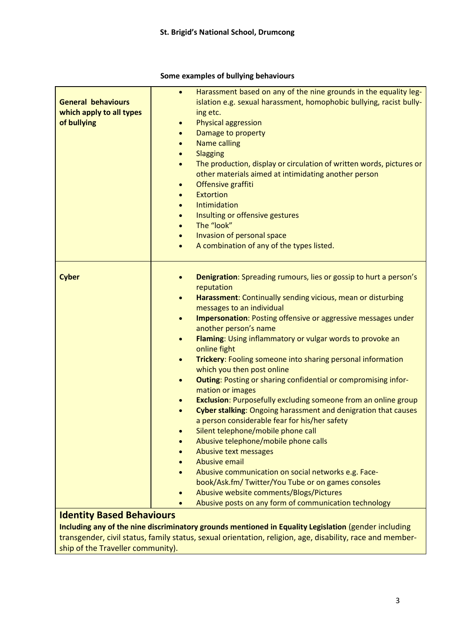#### **General behaviours which apply to all types of bullying** • Harassment based on any of the nine grounds in the equality legislation e.g. sexual harassment, homophobic bullying, racist bullying etc. Physical aggression Damage to property Name calling **Slagging**  The production, display or circulation of written words, pictures or other materials aimed at intimidating another person Offensive graffiti Extortion Intimidation Insulting or offensive gestures The "look" Invasion of personal space A combination of any of the types listed. **Cyber** *Denigration: Spreading rumours, lies or gossip to hurt a person's* reputation **Harassment**: Continually sending vicious, mean or disturbing messages to an individual **Impersonation**: Posting offensive or aggressive messages under another person's name **Flaming**: Using inflammatory or vulgar words to provoke an online fight **Trickery**: Fooling someone into sharing personal information which you then post online **Outing**: Posting or sharing confidential or compromising information or images **Exclusion**: Purposefully excluding someone from an online group **Cyber stalking**: Ongoing harassment and denigration that causes a person considerable fear for his/her safety Silent telephone/mobile phone call Abusive telephone/mobile phone calls Abusive text messages Abusive email Abusive communication on social networks e.g. Facebook/Ask.fm/ Twitter/You Tube or on games consoles Abusive website comments/Blogs/Pictures Abusive posts on any form of communication technology **Identity Based Behaviours Including any of the nine discriminatory grounds mentioned in Equality Legislation** (gender including

#### **Some examples of bullying behaviours**

transgender, civil status, family status, sexual orientation, religion, age, disability, race and membership of the Traveller community).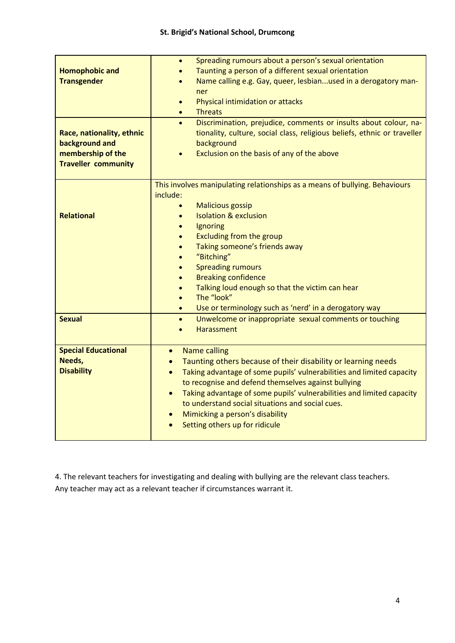| <b>Homophobic and</b><br><b>Transgender</b><br>Race, nationality, ethnic<br>background and<br>membership of the | Spreading rumours about a person's sexual orientation<br>$\bullet$<br>Taunting a person of a different sexual orientation<br>Name calling e.g. Gay, queer, lesbianused in a derogatory man-<br>ner<br>Physical intimidation or attacks<br>$\bullet$<br><b>Threats</b><br>$\bullet$<br>Discrimination, prejudice, comments or insults about colour, na-<br>$\bullet$<br>tionality, culture, social class, religious beliefs, ethnic or traveller<br>background<br>Exclusion on the basis of any of the above                                                                      |
|-----------------------------------------------------------------------------------------------------------------|----------------------------------------------------------------------------------------------------------------------------------------------------------------------------------------------------------------------------------------------------------------------------------------------------------------------------------------------------------------------------------------------------------------------------------------------------------------------------------------------------------------------------------------------------------------------------------|
| <b>Traveller community</b>                                                                                      |                                                                                                                                                                                                                                                                                                                                                                                                                                                                                                                                                                                  |
| <b>Relational</b>                                                                                               | This involves manipulating relationships as a means of bullying. Behaviours<br>include:<br><b>Malicious gossip</b><br>$\bullet$<br><b>Isolation &amp; exclusion</b><br>$\bullet$<br>Ignoring<br>$\bullet$<br>Excluding from the group<br>$\bullet$<br>Taking someone's friends away<br>$\bullet$<br>"Bitching"<br>$\bullet$<br><b>Spreading rumours</b><br>$\bullet$<br><b>Breaking confidence</b><br>$\bullet$<br>Talking loud enough so that the victim can hear<br>$\bullet$<br>The "look"<br>$\bullet$<br>Use or terminology such as 'nerd' in a derogatory way<br>$\bullet$ |
| <b>Sexual</b>                                                                                                   | Unwelcome or inappropriate sexual comments or touching<br>$\bullet$<br><b>Harassment</b><br>$\bullet$                                                                                                                                                                                                                                                                                                                                                                                                                                                                            |
| <b>Special Educational</b><br>Needs,<br><b>Disability</b>                                                       | <b>Name calling</b><br>$\bullet$<br>Taunting others because of their disability or learning needs<br>$\bullet$<br>Taking advantage of some pupils' vulnerabilities and limited capacity<br>$\bullet$<br>to recognise and defend themselves against bullying<br>Taking advantage of some pupils' vulnerabilities and limited capacity<br>$\bullet$<br>to understand social situations and social cues.<br>Mimicking a person's disability<br>$\bullet$<br>Setting others up for ridicule                                                                                          |

4. The relevant teachers for investigating and dealing with bullying are the relevant class teachers. Any teacher may act as a relevant teacher if circumstances warrant it.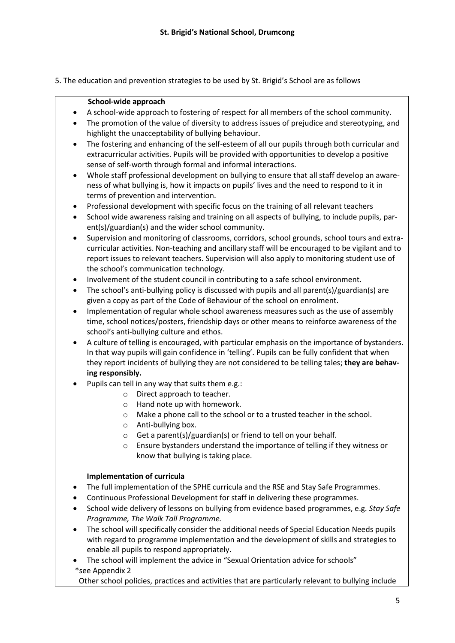5. The education and prevention strategies to be used by St. Brigid's School are as follows

#### **School-wide approach**

- A school-wide approach to fostering of respect for all members of the school community.
- The promotion of the value of diversity to address issues of prejudice and stereotyping, and highlight the unacceptability of bullying behaviour.
- The fostering and enhancing of the self-esteem of all our pupils through both curricular and extracurricular activities. Pupils will be provided with opportunities to develop a positive sense of self-worth through formal and informal interactions.
- Whole staff professional development on bullying to ensure that all staff develop an awareness of what bullying is, how it impacts on pupils' lives and the need to respond to it in terms of prevention and intervention.
- Professional development with specific focus on the training of all relevant teachers
- School wide awareness raising and training on all aspects of bullying, to include pupils, parent(s)/guardian(s) and the wider school community.
- Supervision and monitoring of classrooms, corridors, school grounds, school tours and extracurricular activities. Non-teaching and ancillary staff will be encouraged to be vigilant and to report issues to relevant teachers. Supervision will also apply to monitoring student use of the school's communication technology.
- Involvement of the student council in contributing to a safe school environment.
- The school's anti-bullying policy is discussed with pupils and all parent(s)/guardian(s) are given a copy as part of the Code of Behaviour of the school on enrolment.
- Implementation of regular whole school awareness measures such as the use of assembly time, school notices/posters, friendship days or other means to reinforce awareness of the school's anti-bullying culture and ethos.
- A culture of telling is encouraged, with particular emphasis on the importance of bystanders. In that way pupils will gain confidence in 'telling'. Pupils can be fully confident that when they report incidents of bullying they are not considered to be telling tales; **they are behaving responsibly.**
- Pupils can tell in any way that suits them e.g.:
	- o Direct approach to teacher.
	- o Hand note up with homework.
	- o Make a phone call to the school or to a trusted teacher in the school.
	- o Anti-bullying box.
	- o Get a parent(s)/guardian(s) or friend to tell on your behalf.
	- o Ensure bystanders understand the importance of telling if they witness or know that bullying is taking place.

#### **Implementation of curricula**

- The full implementation of the SPHE curricula and the RSE and Stay Safe Programmes.
- Continuous Professional Development for staff in delivering these programmes.
- School wide delivery of lessons on bullying from evidence based programmes, e.g. *Stay Safe Programme, The Walk Tall Programme.*
- The school will specifically consider the additional needs of Special Education Needs pupils with regard to programme implementation and the development of skills and strategies to enable all pupils to respond appropriately.
- The school will implement the advice in "Sexual Orientation advice for schools" \*see Appendix 2

Other school policies, practices and activities that are particularly relevant to bullying include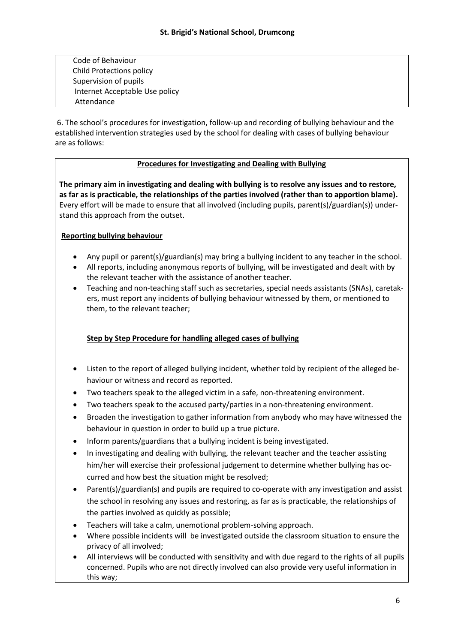Code of Behaviour Child Protections policy Supervision of pupils Internet Acceptable Use policy Attendance

6. The school's procedures for investigation, follow-up and recording of bullying behaviour and the established intervention strategies used by the school for dealing with cases of bullying behaviour are as follows:

## **Procedures for Investigating and Dealing with Bullying**

**The primary aim in investigating and dealing with bullying is to resolve any issues and to restore, as far as is practicable, the relationships of the parties involved (rather than to apportion blame).** Every effort will be made to ensure that all involved (including pupils, parent(s)/guardian(s)) understand this approach from the outset.

## **Reporting bullying behaviour**

- Any pupil or parent(s)/guardian(s) may bring a bullying incident to any teacher in the school.
- All reports, including anonymous reports of bullying, will be investigated and dealt with by the relevant teacher with the assistance of another teacher.
- Teaching and non-teaching staff such as secretaries, special needs assistants (SNAs), caretakers, must report any incidents of bullying behaviour witnessed by them, or mentioned to them, to the relevant teacher;

# **Step by Step Procedure for handling alleged cases of bullying**

- Listen to the report of alleged bullying incident, whether told by recipient of the alleged behaviour or witness and record as reported.
- Two teachers speak to the alleged victim in a safe, non-threatening environment.
- Two teachers speak to the accused party/parties in a non-threatening environment.
- Broaden the investigation to gather information from anybody who may have witnessed the behaviour in question in order to build up a true picture.
- Inform parents/guardians that a bullying incident is being investigated.
- In investigating and dealing with bullying, the relevant teacher and the teacher assisting him/her will exercise their professional judgement to determine whether bullying has occurred and how best the situation might be resolved;
- Parent(s)/guardian(s) and pupils are required to co-operate with any investigation and assist the school in resolving any issues and restoring, as far as is practicable, the relationships of the parties involved as quickly as possible;
- Teachers will take a calm, unemotional problem-solving approach.
- Where possible incidents will be investigated outside the classroom situation to ensure the privacy of all involved;
- All interviews will be conducted with sensitivity and with due regard to the rights of all pupils concerned. Pupils who are not directly involved can also provide very useful information in this way;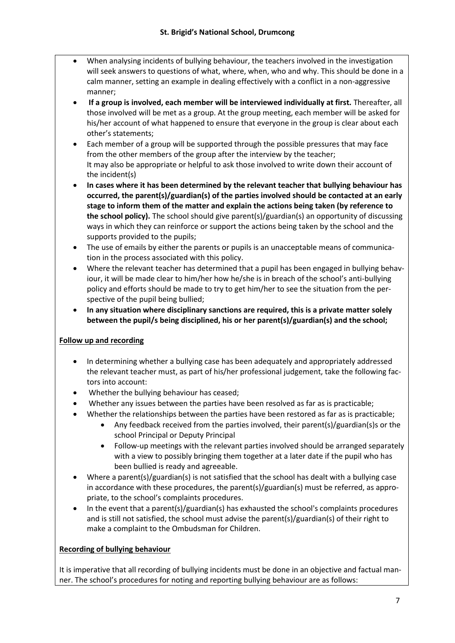- When analysing incidents of bullying behaviour, the teachers involved in the investigation will seek answers to questions of what, where, when, who and why. This should be done in a calm manner, setting an example in dealing effectively with a conflict in a non-aggressive manner;
- **If a group is involved, each member will be interviewed individually at first.** Thereafter, all those involved will be met as a group. At the group meeting, each member will be asked for his/her account of what happened to ensure that everyone in the group is clear about each other's statements;
- Each member of a group will be supported through the possible pressures that may face from the other members of the group after the interview by the teacher; It may also be appropriate or helpful to ask those involved to write down their account of the incident(s)
- **In cases where it has been determined by the relevant teacher that bullying behaviour has occurred, the parent(s)/guardian(s) of the parties involved should be contacted at an early stage to inform them of the matter and explain the actions being taken (by reference to the school policy).** The school should give parent(s)/guardian(s) an opportunity of discussing ways in which they can reinforce or support the actions being taken by the school and the supports provided to the pupils;
- The use of emails by either the parents or pupils is an unacceptable means of communication in the process associated with this policy.
- Where the relevant teacher has determined that a pupil has been engaged in bullying behaviour, it will be made clear to him/her how he/she is in breach of the school's anti-bullying policy and efforts should be made to try to get him/her to see the situation from the perspective of the pupil being bullied;
- **In any situation where disciplinary sanctions are required, this is a private matter solely between the pupil/s being disciplined, his or her parent(s)/guardian(s) and the school;**

# **Follow up and recording**

- In determining whether a bullying case has been adequately and appropriately addressed the relevant teacher must, as part of his/her professional judgement, take the following factors into account:
- Whether the bullying behaviour has ceased;
- Whether any issues between the parties have been resolved as far as is practicable;
- Whether the relationships between the parties have been restored as far as is practicable;
	- Any feedback received from the parties involved, their parent(s)/guardian(s)s or the school Principal or Deputy Principal
	- Follow-up meetings with the relevant parties involved should be arranged separately with a view to possibly bringing them together at a later date if the pupil who has been bullied is ready and agreeable.
- Where a parent(s)/guardian(s) is not satisfied that the school has dealt with a bullying case in accordance with these procedures, the parent(s)/guardian(s) must be referred, as appropriate, to the school's complaints procedures.
- In the event that a parent(s)/guardian(s) has exhausted the school's complaints procedures and is still not satisfied, the school must advise the parent(s)/guardian(s) of their right to make a complaint to the Ombudsman for Children.

# **Recording of bullying behaviour**

It is imperative that all recording of bullying incidents must be done in an objective and factual manner. The school's procedures for noting and reporting bullying behaviour are as follows: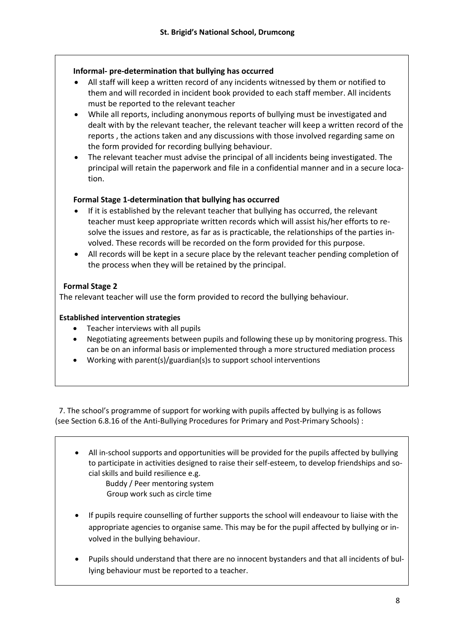## **Informal- pre-determination that bullying has occurred**

- All staff will keep a written record of any incidents witnessed by them or notified to them and will recorded in incident book provided to each staff member. All incidents must be reported to the relevant teacher
- While all reports, including anonymous reports of bullying must be investigated and dealt with by the relevant teacher, the relevant teacher will keep a written record of the reports , the actions taken and any discussions with those involved regarding same on the form provided for recording bullying behaviour.
- The relevant teacher must advise the principal of all incidents being investigated. The principal will retain the paperwork and file in a confidential manner and in a secure location.

## **Formal Stage 1-determination that bullying has occurred**

- If it is established by the relevant teacher that bullying has occurred, the relevant teacher must keep appropriate written records which will assist his/her efforts to resolve the issues and restore, as far as is practicable, the relationships of the parties involved. These records will be recorded on the form provided for this purpose.
- All records will be kept in a secure place by the relevant teacher pending completion of the process when they will be retained by the principal.

## **Formal Stage 2**

The relevant teacher will use the form provided to record the bullying behaviour.

#### **Established intervention strategies**

- Teacher interviews with all pupils
- Negotiating agreements between pupils and following these up by monitoring progress. This can be on an informal basis or implemented through a more structured mediation process
- Working with parent(s)/guardian(s)s to support school interventions

 7. The school's programme of support for working with pupils affected by bullying is as follows (see Section 6.8.16 of the Anti-Bullying Procedures for Primary and Post-Primary Schools) :

 All in-school supports and opportunities will be provided for the pupils affected by bullying to participate in activities designed to raise their self-esteem, to develop friendships and social skills and build resilience e.g.

 Buddy / Peer mentoring system Group work such as circle time

- If pupils require counselling of further supports the school will endeavour to liaise with the appropriate agencies to organise same. This may be for the pupil affected by bullying or involved in the bullying behaviour.
- Pupils should understand that there are no innocent bystanders and that all incidents of bullying behaviour must be reported to a teacher.